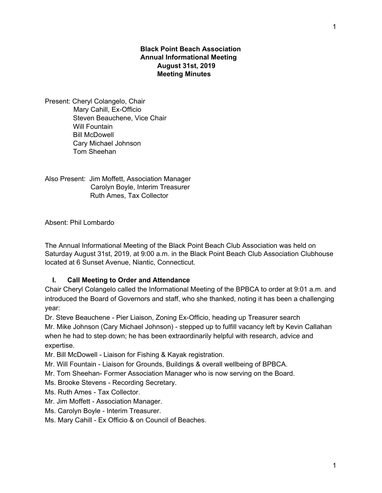## **Black Point Beach Association Annual Informational Meeting August 31st, 2019 Meeting Minutes**

Present: Cheryl Colangelo, Chair Mary Cahill, Ex-Officio Steven Beauchene, Vice Chair Will Fountain Bill McDowell Cary Michael Johnson Tom Sheehan

Also Present: Jim Moffett, Association Manager Carolyn Boyle, Interim Treasurer Ruth Ames, Tax Collector

Absent: Phil Lombardo

The Annual Informational Meeting of the Black Point Beach Club Association was held on Saturday August 31st, 2019, at 9:00 a.m. in the Black Point Beach Club Association Clubhouse located at 6 Sunset Avenue, Niantic, Connecticut.

## **I. Call Meeting to Order and Attendance**

Chair Cheryl Colangelo called the Informational Meeting of the BPBCA to order at 9:01 a.m. and introduced the Board of Governors and staff, who she thanked, noting it has been a challenging year:

Dr. Steve Beauchene - Pier Liaison, Zoning Ex-Officio, heading up Treasurer search Mr. Mike Johnson (Cary Michael Johnson) - stepped up to fulfill vacancy left by Kevin Callahan when he had to step down; he has been extraordinarily helpful with research, advice and expertise.

Mr. Bill McDowell - Liaison for Fishing & Kayak registration.

Mr. Will Fountain - Liaison for Grounds, Buildings & overall wellbeing of BPBCA.

Mr. Tom Sheehan- Former Association Manager who is now serving on the Board.

Ms. Brooke Stevens - Recording Secretary.

Ms. Ruth Ames - Tax Collector.

Mr. Jim Moffett - Association Manager.

Ms. Carolyn Boyle - Interim Treasurer.

Ms. Mary Cahill - Ex Officio & on Council of Beaches.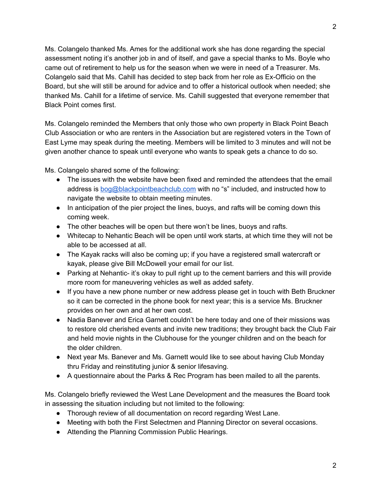Ms. Colangelo thanked Ms. Ames for the additional work she has done regarding the special assessment noting it's another job in and of itself, and gave a special thanks to Ms. Boyle who came out of retirement to help us for the season when we were in need of a Treasurer. Ms. Colangelo said that Ms. Cahill has decided to step back from her role as Ex-Officio on the Board, but she will still be around for advice and to offer a historical outlook when needed; she thanked Ms. Cahill for a lifetime of service. Ms. Cahill suggested that everyone remember that Black Point comes first.

Ms. Colangelo reminded the Members that only those who own property in Black Point Beach Club Association or who are renters in the Association but are registered voters in the Town of East Lyme may speak during the meeting. Members will be limited to 3 minutes and will not be given another chance to speak until everyone who wants to speak gets a chance to do so.

Ms. Colangelo shared some of the following:

- The issues with the website have been fixed and reminded the attendees that the email address is [bog@blackpointbeachclub.com](mailto:bog@blackpointbeachclub.com) with no "s" included, and instructed how to navigate the website to obtain meeting minutes.
- In anticipation of the pier project the lines, buoys, and rafts will be coming down this coming week.
- The other beaches will be open but there won't be lines, buoys and rafts.
- Whitecap to Nehantic Beach will be open until work starts, at which time they will not be able to be accessed at all.
- The Kayak racks will also be coming up; if you have a registered small watercraft or kayak, please give Bill McDowell your email for our list.
- Parking at Nehantic- it's okay to pull right up to the cement barriers and this will provide more room for maneuvering vehicles as well as added safety.
- If you have a new phone number or new address please get in touch with Beth Bruckner so it can be corrected in the phone book for next year; this is a service Ms. Bruckner provides on her own and at her own cost.
- Nadia Banever and Erica Garnett couldn't be here today and one of their missions was to restore old cherished events and invite new traditions; they brought back the Club Fair and held movie nights in the Clubhouse for the younger children and on the beach for the older children.
- Next year Ms. Banever and Ms. Garnett would like to see about having Club Monday thru Friday and reinstituting junior & senior lifesaving.
- A questionnaire about the Parks & Rec Program has been mailed to all the parents.

Ms. Colangelo briefly reviewed the West Lane Development and the measures the Board took in assessing the situation including but not limited to the following:

- Thorough review of all documentation on record regarding West Lane.
- Meeting with both the First Selectmen and Planning Director on several occasions.
- Attending the Planning Commission Public Hearings.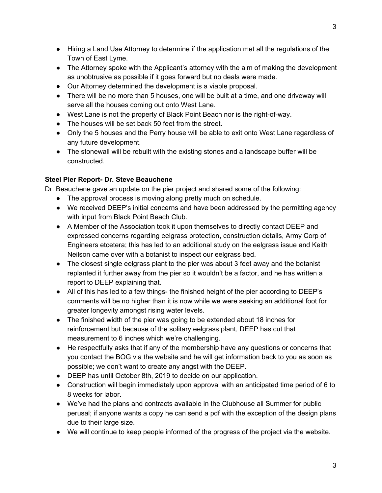3

- Hiring a Land Use Attorney to determine if the application met all the regulations of the Town of East Lyme.
- The Attorney spoke with the Applicant's attorney with the aim of making the development as unobtrusive as possible if it goes forward but no deals were made.
- Our Attorney determined the development is a viable proposal.
- There will be no more than 5 houses, one will be built at a time, and one driveway will serve all the houses coming out onto West Lane.
- West Lane is not the property of Black Point Beach nor is the right-of-way.
- The houses will be set back 50 feet from the street.
- Only the 5 houses and the Perry house will be able to exit onto West Lane regardless of any future development.
- The stonewall will be rebuilt with the existing stones and a landscape buffer will be constructed.

## **Steel Pier Report- Dr. Steve Beauchene**

Dr. Beauchene gave an update on the pier project and shared some of the following:

- The approval process is moving along pretty much on schedule.
- We received DEEP's initial concerns and have been addressed by the permitting agency with input from Black Point Beach Club.
- A Member of the Association took it upon themselves to directly contact DEEP and expressed concerns regarding eelgrass protection, construction details, Army Corp of Engineers etcetera; this has led to an additional study on the eelgrass issue and Keith Neilson came over with a botanist to inspect our eelgrass bed.
- The closest single eelgrass plant to the pier was about 3 feet away and the botanist replanted it further away from the pier so it wouldn't be a factor, and he has written a report to DEEP explaining that.
- All of this has led to a few things- the finished height of the pier according to DEEP's comments will be no higher than it is now while we were seeking an additional foot for greater longevity amongst rising water levels.
- The finished width of the pier was going to be extended about 18 inches for reinforcement but because of the solitary eelgrass plant, DEEP has cut that measurement to 6 inches which we're challenging.
- He respectfully asks that if any of the membership have any questions or concerns that you contact the BOG via the website and he will get information back to you as soon as possible; we don't want to create any angst with the DEEP.
- DEEP has until October 8th, 2019 to decide on our application.
- Construction will begin immediately upon approval with an anticipated time period of 6 to 8 weeks for labor.
- We've had the plans and contracts available in the Clubhouse all Summer for public perusal; if anyone wants a copy he can send a pdf with the exception of the design plans due to their large size.
- We will continue to keep people informed of the progress of the project via the website.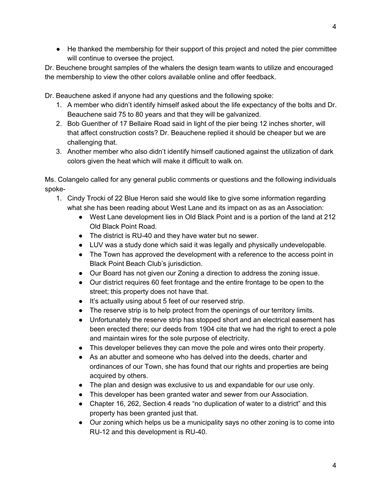● He thanked the membership for their support of this project and noted the pier committee will continue to oversee the project.

Dr. Beuchene brought samples of the whalers the design team wants to utilize and encouraged the membership to view the other colors available online and offer feedback.

Dr. Beauchene asked if anyone had any questions and the following spoke:

- 1. A member who didn't identify himself asked about the life expectancy of the bolts and Dr. Beauchene said 75 to 80 years and that they will be galvanized.
- 2. Bob Guenther of 17 Bellaire Road said in light of the pier being 12 inches shorter, will that affect construction costs? Dr. Beauchene replied it should be cheaper but we are challenging that.
- 3. Another member who also didn't identify himself cautioned against the utilization of dark colors given the heat which will make it difficult to walk on.

Ms. Colangelo called for any general public comments or questions and the following individuals spoke-

- 1. Cindy Trocki of 22 Blue Heron said she would like to give some information regarding what she has been reading about West Lane and its impact on as as an Association:
	- West Lane development lies in Old Black Point and is a portion of the land at 212 Old Black Point Road.
	- The district is RU-40 and they have water but no sewer.
	- LUV was a study done which said it was legally and physically undevelopable.
	- The Town has approved the development with a reference to the access point in Black Point Beach Club's jurisdiction.
	- Our Board has not given our Zoning a direction to address the zoning issue.
	- Our district requires 60 feet frontage and the entire frontage to be open to the street; this property does not have that.
	- It's actually using about 5 feet of our reserved strip.
	- The reserve strip is to help protect from the openings of our territory limits.
	- Unfortunately the reserve strip has stopped short and an electrical easement has been erected there; our deeds from 1904 cite that we had the right to erect a pole and maintain wires for the sole purpose of electricity.
	- This developer believes they can move the pole and wires onto their property.
	- As an abutter and someone who has delved into the deeds, charter and ordinances of our Town, she has found that our rights and properties are being acquired by others.
	- The plan and design was exclusive to us and expandable for our use only.
	- This developer has been granted water and sewer from our Association.
	- Chapter 16, 262, Section 4 reads "no duplication of water to a district" and this property has been granted just that.
	- Our zoning which helps us be a municipality says no other zoning is to come into RU-12 and this development is RU-40.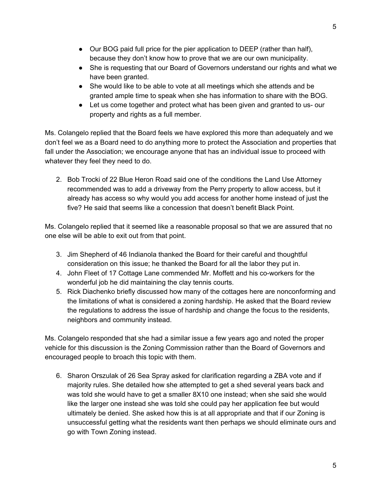- Our BOG paid full price for the pier application to DEEP (rather than half), because they don't know how to prove that we are our own municipality.
- She is requesting that our Board of Governors understand our rights and what we have been granted.
- She would like to be able to vote at all meetings which she attends and be granted ample time to speak when she has information to share with the BOG.
- Let us come together and protect what has been given and granted to us- our property and rights as a full member.

Ms. Colangelo replied that the Board feels we have explored this more than adequately and we don't feel we as a Board need to do anything more to protect the Association and properties that fall under the Association; we encourage anyone that has an individual issue to proceed with whatever they feel they need to do.

2. Bob Trocki of 22 Blue Heron Road said one of the conditions the Land Use Attorney recommended was to add a driveway from the Perry property to allow access, but it already has access so why would you add access for another home instead of just the five? He said that seems like a concession that doesn't benefit Black Point.

Ms. Colangelo replied that it seemed like a reasonable proposal so that we are assured that no one else will be able to exit out from that point.

- 3. Jim Shepherd of 46 Indianola thanked the Board for their careful and thoughtful consideration on this issue; he thanked the Board for all the labor they put in.
- 4. John Fleet of 17 Cottage Lane commended Mr. Moffett and his co-workers for the wonderful job he did maintaining the clay tennis courts.
- 5. Rick Diachenko briefly discussed how many of the cottages here are nonconforming and the limitations of what is considered a zoning hardship. He asked that the Board review the regulations to address the issue of hardship and change the focus to the residents, neighbors and community instead.

Ms. Colangelo responded that she had a similar issue a few years ago and noted the proper vehicle for this discussion is the Zoning Commission rather than the Board of Governors and encouraged people to broach this topic with them.

6. Sharon Orszulak of 26 Sea Spray asked for clarification regarding a ZBA vote and if majority rules. She detailed how she attempted to get a shed several years back and was told she would have to get a smaller 8X10 one instead; when she said she would like the larger one instead she was told she could pay her application fee but would ultimately be denied. She asked how this is at all appropriate and that if our Zoning is unsuccessful getting what the residents want then perhaps we should eliminate ours and go with Town Zoning instead.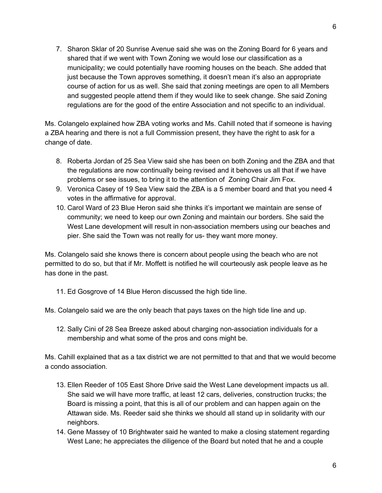7. Sharon Sklar of 20 Sunrise Avenue said she was on the Zoning Board for 6 years and shared that if we went with Town Zoning we would lose our classification as a municipality; we could potentially have rooming houses on the beach. She added that just because the Town approves something, it doesn't mean it's also an appropriate course of action for us as well. She said that zoning meetings are open to all Members and suggested people attend them if they would like to seek change. She said Zoning regulations are for the good of the entire Association and not specific to an individual.

Ms. Colangelo explained how ZBA voting works and Ms. Cahill noted that if someone is having a ZBA hearing and there is not a full Commission present, they have the right to ask for a change of date.

- 8. Roberta Jordan of 25 Sea View said she has been on both Zoning and the ZBA and that the regulations are now continually being revised and it behoves us all that if we have problems or see issues, to bring it to the attention of Zoning Chair Jim Fox.
- 9. Veronica Casey of 19 Sea View said the ZBA is a 5 member board and that you need 4 votes in the affirmative for approval.
- 10. Carol Ward of 23 Blue Heron said she thinks it's important we maintain are sense of community; we need to keep our own Zoning and maintain our borders. She said the West Lane development will result in non-association members using our beaches and pier. She said the Town was not really for us- they want more money.

Ms. Colangelo said she knows there is concern about people using the beach who are not permitted to do so, but that if Mr. Moffett is notified he will courteously ask people leave as he has done in the past.

11. Ed Gosgrove of 14 Blue Heron discussed the high tide line.

Ms. Colangelo said we are the only beach that pays taxes on the high tide line and up.

12. Sally Cini of 28 Sea Breeze asked about charging non-association individuals for a membership and what some of the pros and cons might be.

Ms. Cahill explained that as a tax district we are not permitted to that and that we would become a condo association.

- 13. Ellen Reeder of 105 East Shore Drive said the West Lane development impacts us all. She said we will have more traffic, at least 12 cars, deliveries, construction trucks; the Board is missing a point, that this is all of our problem and can happen again on the Attawan side. Ms. Reeder said she thinks we should all stand up in solidarity with our neighbors.
- 14. Gene Massey of 10 Brightwater said he wanted to make a closing statement regarding West Lane; he appreciates the diligence of the Board but noted that he and a couple